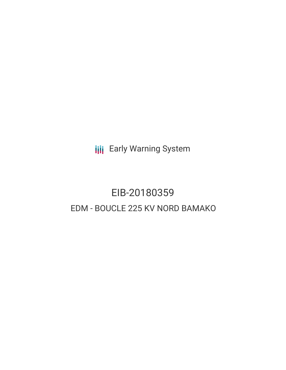**III** Early Warning System

# EIB-20180359 EDM - BOUCLE 225 KV NORD BAMAKO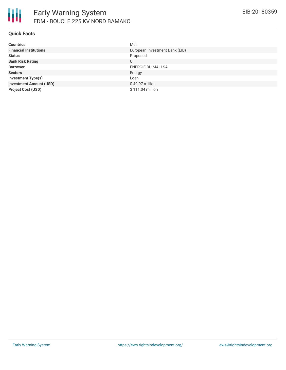

## **Quick Facts**

| <b>Countries</b>               | Mali                           |
|--------------------------------|--------------------------------|
| <b>Financial Institutions</b>  | European Investment Bank (EIB) |
| <b>Status</b>                  | Proposed                       |
| <b>Bank Risk Rating</b>        | U                              |
| <b>Borrower</b>                | <b>ENERGIE DU MALI-SA</b>      |
| <b>Sectors</b>                 | Energy                         |
| <b>Investment Type(s)</b>      | Loan                           |
| <b>Investment Amount (USD)</b> | \$49.97 million                |
| <b>Project Cost (USD)</b>      | \$111.04 million               |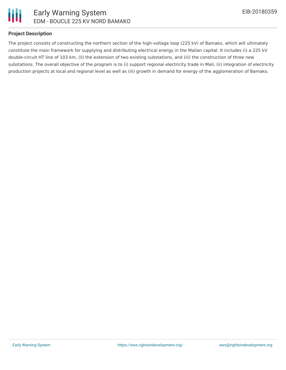

## **Project Description**

The project consists of constructing the northern section of the high-voltage loop (225 kV) of Bamako, which will ultimately constitute the main framework for supplying and distributing electrical energy in the Malian capital. It includes (i) a 225 kV double-circuit HT line of 103 km, (ii) the extension of two existing substations, and (iii) the construction of three new substations. The overall objective of the program is to (i) support regional electricity trade in Mali, (ii) integration of electricity production projects at local and regional level as well as (iii) growth in demand for energy of the agglomeration of Bamako.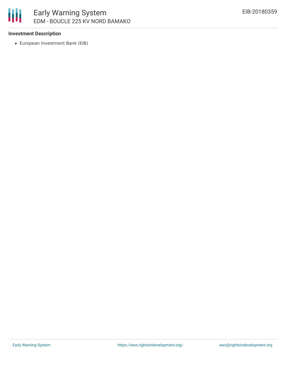

# **Investment Description**

European Investment Bank (EIB)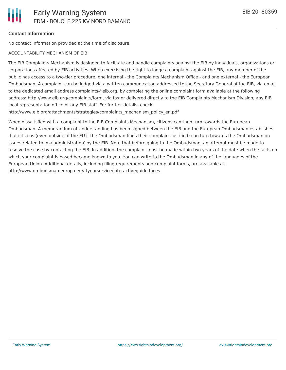# **Contact Information**

No contact information provided at the time of disclosure

#### ACCOUNTABILITY MECHANISM OF EIB

The EIB Complaints Mechanism is designed to facilitate and handle complaints against the EIB by individuals, organizations or corporations affected by EIB activities. When exercising the right to lodge a complaint against the EIB, any member of the public has access to a two-tier procedure, one internal - the Complaints Mechanism Office - and one external - the European Ombudsman. A complaint can be lodged via a written communication addressed to the Secretary General of the EIB, via email to the dedicated email address complaints@eib.org, by completing the online complaint form available at the following address: http://www.eib.org/complaints/form, via fax or delivered directly to the EIB Complaints Mechanism Division, any EIB local representation office or any EIB staff. For further details, check:

http://www.eib.org/attachments/strategies/complaints\_mechanism\_policy\_en.pdf

When dissatisfied with a complaint to the EIB Complaints Mechanism, citizens can then turn towards the European Ombudsman. A memorandum of Understanding has been signed between the EIB and the European Ombudsman establishes that citizens (even outside of the EU if the Ombudsman finds their complaint justified) can turn towards the Ombudsman on issues related to 'maladministration' by the EIB. Note that before going to the Ombudsman, an attempt must be made to resolve the case by contacting the EIB. In addition, the complaint must be made within two years of the date when the facts on which your complaint is based became known to you. You can write to the Ombudsman in any of the languages of the European Union. Additional details, including filing requirements and complaint forms, are available at: http://www.ombudsman.europa.eu/atyourservice/interactiveguide.faces